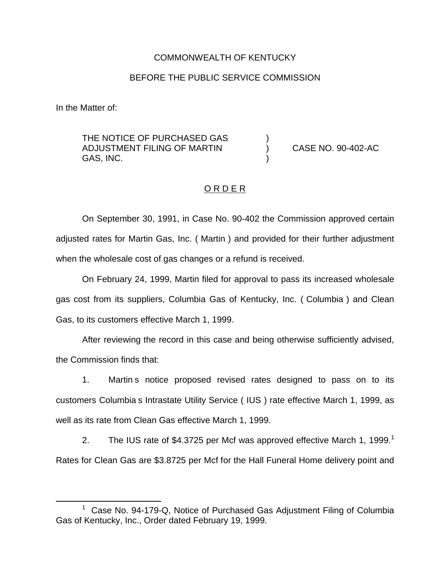## COMMONWEALTH OF KENTUCKY

### BEFORE THE PUBLIC SERVICE COMMISSION

In the Matter of:

THE NOTICE OF PURCHASED GAS ADJUSTMENT FILING OF MARTIN ) CASE NO. 90-402-AC GAS, INC. )

### O R D E R

On September 30, 1991, in Case No. 90-402 the Commission approved certain adjusted rates for Martin Gas, Inc. ( Martin ) and provided for their further adjustment when the wholesale cost of gas changes or a refund is received.

On February 24, 1999, Martin filed for approval to pass its increased wholesale gas cost from its suppliers, Columbia Gas of Kentucky, Inc. ( Columbia ) and Clean Gas, to its customers effective March 1, 1999.

After reviewing the record in this case and being otherwise sufficiently advised, the Commission finds that:

1. Martin s notice proposed revised rates designed to pass on to its customers Columbia s Intrastate Utility Service ( IUS ) rate effective March 1, 1999, as well as its rate from Clean Gas effective March 1, 1999.

2. The IUS rate of \$4.3725 per Mcf was approved effective March 1, 1999.<sup>1</sup> Rates for Clean Gas are \$3.8725 per Mcf for the Hall Funeral Home delivery point and

 $1$  Case No. 94-179-Q, Notice of Purchased Gas Adjustment Filing of Columbia Gas of Kentucky, Inc., Order dated February 19, 1999.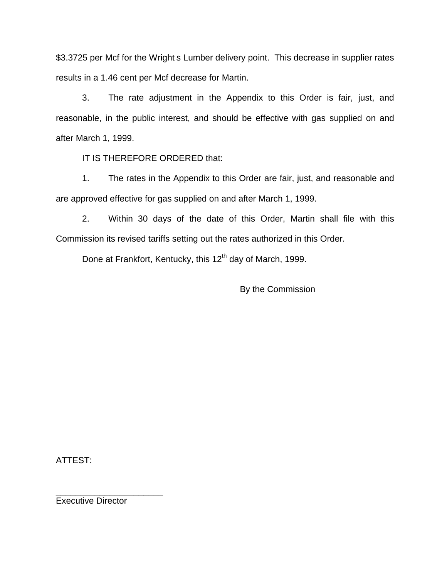\$3.3725 per Mcf for the Wright s Lumber delivery point. This decrease in supplier rates results in a 1.46 cent per Mcf decrease for Martin.

3. The rate adjustment in the Appendix to this Order is fair, just, and reasonable, in the public interest, and should be effective with gas supplied on and after March 1, 1999.

IT IS THEREFORE ORDERED that:

1. The rates in the Appendix to this Order are fair, just, and reasonable and are approved effective for gas supplied on and after March 1, 1999.

2. Within 30 days of the date of this Order, Martin shall file with this Commission its revised tariffs setting out the rates authorized in this Order.

Done at Frankfort, Kentucky, this 12<sup>th</sup> day of March, 1999.

By the Commission

ATTEST:

Executive Director

\_\_\_\_\_\_\_\_\_\_\_\_\_\_\_\_\_\_\_\_\_\_